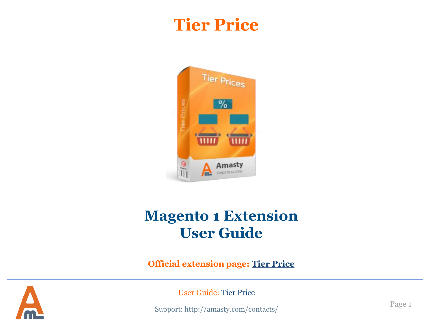# **Tier Price**



# **Magento 1 Extension User Guide**

**Official extension page: [Tier Price](https://amasty.com/magento-tier-price.html)**



User Guide: [Tier Price](http://amasty.com/magento-tier-price.html)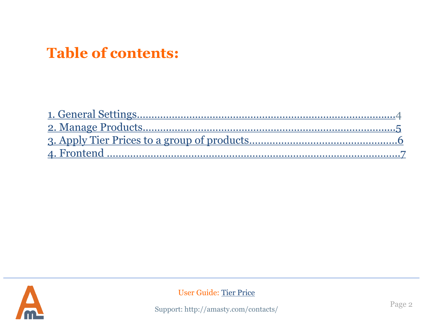## **Table of contents:**



User Guide: [Tier Price](http://amasty.com/magento-tier-price.html)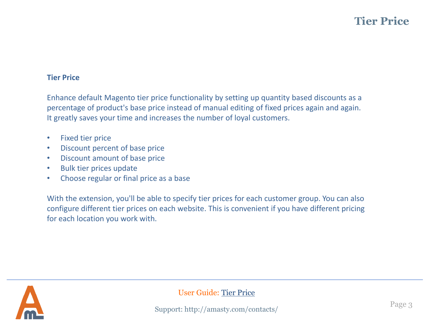#### **Tier Price**

Enhance default Magento tier price functionality by setting up quantity based discounts as a percentage of product's base price instead of manual editing of fixed prices again and again. It greatly saves your time and increases the number of loyal customers.

- Fixed tier price
- Discount percent of base price
- Discount amount of base price
- Bulk tier prices update
- Choose regular or final price as a base

With the extension, you'll be able to specify tier prices for each customer group. You can also configure different tier prices on each website. This is convenient if you have different pricing for each location you work with.



User Guide: [Tier Price](http://amasty.com/magento-tier-price.html)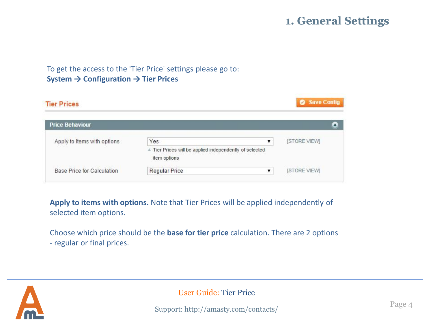## **1. General Settings**

### To get the access to the 'Tier Price' settings please go to: **System → Configuration → Tier Prices**

| <b>Tier Prices</b>          |                                                                         | Save Config        |
|-----------------------------|-------------------------------------------------------------------------|--------------------|
| <b>Price Behaviour</b>      |                                                                         |                    |
| Apply to items with options | Yes                                                                     | <b>ISTORE VIEW</b> |
|                             | A Tier Prices will be applied independently of selected<br>item options |                    |
| Base Price for Calculation  | <b>Regular Price</b>                                                    | <b>ISTORE VIEW</b> |

**Apply to items with options.** Note that Tier Prices will be applied independently of selected item options.

Choose which price should be the **base for tier price** calculation. There are 2 options - regular or final prices.

<span id="page-3-0"></span>

User Guide: [Tier Price](http://amasty.com/magento-tier-price.html)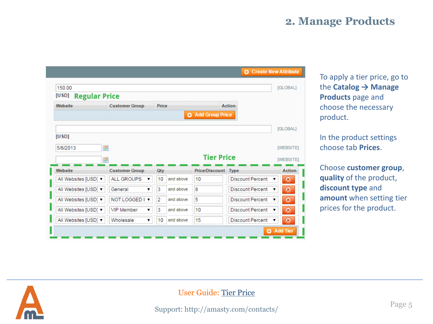## **2. Manage Products**

|                               |                        |                             |                            |                         | <b>C</b> Create New Attribute |
|-------------------------------|------------------------|-----------------------------|----------------------------|-------------------------|-------------------------------|
| 150.00                        |                        |                             |                            |                         | [GLOBAL]                      |
| <b>Regular Price</b><br>[USD] |                        |                             |                            |                         |                               |
| Website                       | <b>Customer Group</b>  |                             |                            | <b>Action</b>           |                               |
|                               |                        |                             | <b>O</b> Add Group Price   |                         |                               |
|                               |                        |                             |                            |                         | [GLOBAL]                      |
| [USD]                         |                        |                             |                            |                         |                               |
| 5/8/2013                      | <b>III</b>             |                             |                            |                         | [WEBSITE]                     |
|                               | 圜                      |                             | <b>Tier Price</b>          |                         | <b>IWEBSITEI</b>              |
| Website                       | <b>Customer Group</b>  | Qty                         | <b>Price/Discount Type</b> |                         | <b>Action</b>                 |
| All Websites [USD] ▼          | <b>ALL GROUPS</b><br>7 | 10<br>and above             | 10                         | <b>Discount Percent</b> | $\circledcirc$<br>▼           |
| All Websites [USD] ▼          | General<br>▼           | 3<br>and above              | 8                          | <b>Discount Percent</b> | $\circledcirc$                |
| All Websites [USD] ▼          | <b>NOT LOGGED I ▼</b>  | $\overline{2}$<br>and above | 5                          | <b>Discount Percent</b> | $\odot$<br>▼                  |
| All Websites [USD] ▼          | VIP Member<br>▼        | 3<br>and above              | 10                         | <b>Discount Percent</b> | $\odot$<br>▼                  |
| All Websites [USD] ▼          | Wholesale<br>7         | 10<br>and above             | 15                         | <b>Discount Percent</b> | $\circledcirc$<br>▼           |
|                               |                        |                             |                            |                         | <b>O</b> Add Tier             |

To apply a tier price, go to the **Catalog → Manage Products** page and choose the necessary product.

In the product settings choose tab **Prices**.

Choose **customer group**, **quality** of the product, **discount type** and **amount** when setting tier prices for the product.

<span id="page-4-0"></span>

## User Guide: [Tier Price](http://amasty.com/magento-tier-price.html)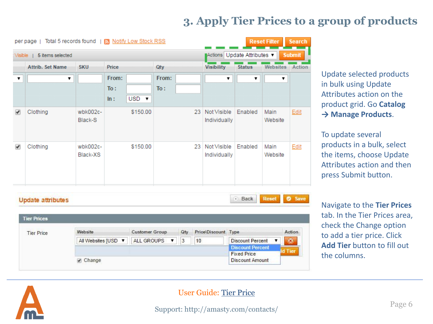## **3. Apply Tier Prices to a group of products**

Action

 $\circledcirc$ 

d Tier

.

|                             | per page   Total 5 records found   S Notify Low Stock RSS |                      |                     |           |              |                                            |                                |               | <b>Reset Filter</b> | <b>Search</b> |
|-----------------------------|-----------------------------------------------------------|----------------------|---------------------|-----------|--------------|--------------------------------------------|--------------------------------|---------------|---------------------|---------------|
| 5 items selected<br>Visible |                                                           |                      |                     |           |              | Actions Update Attributes<br><b>Submit</b> |                                |               |                     |               |
|                             | <b>Attrib. Set Name</b>                                   | <b>SKU</b>           | Price               |           | Qty          |                                            | <b>Visibility</b>              | <b>Status</b> | <b>Websites</b>     | <b>Action</b> |
| ▼                           | ▼                                                         |                      | From:<br>To:<br>ln: | $USD - r$ | From:<br>To: |                                            | ▼                              | 7             | ▼                   |               |
| $\overline{\mathscr{L}}$    | Clothing                                                  | wbk002c-<br>Black-S  |                     | \$150.00  |              |                                            | 23 Not Visible<br>Individually | Enabled       | Main<br>Website     | Edit          |
| ✔                           | Clothing                                                  | wbk002c-<br>Black-XS |                     | \$150.00  |              | 23                                         | Not Visible<br>Individually    | Enabled       | Main<br>Website     | Edit          |

**Customer Group** 

ALL GROUPS

Update selected products in bulk using Update Attributes action on the product grid. Go **Catalog → Manage Products**.

To update several products in a bulk, select the items, choose Update Attributes action and then press Submit button.

Navigate to the **Tier Prices**  tab. In the Tier Prices area, check the Change option to add a tier price. Click **Add Tier** button to fill out the columns.

<span id="page-5-0"></span>

**Tier Prices** 

**Tier Price** 

Website

Change

All Websites [USD ▼

#### User Guide: [Tier Price](http://amasty.com/magento-tier-price.html)

Price\Discount Type

**Discount Percent** 

**Discount Percent** 

**Discount Amount** 

**Fixed Price** 

Qty

10

3

.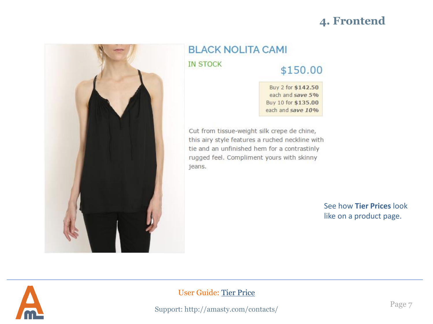## **4. Frontend**



## **BLACK NOLITA CAMI IN STOCK** \$150.00

#### Buy 2 for \$142.50 each and save 5% Buy 10 for \$135.00 each and save 10%

Cut from tissue-weight silk crepe de chine, this airy style features a ruched neckline with tie and an unfinished hem for a contrastinly rugged feel. Compliment yours with skinny jeans.

> See how **Tier Prices** look like on a product page.

<span id="page-6-0"></span>

### User Guide: [Tier Price](http://amasty.com/magento-tier-price.html)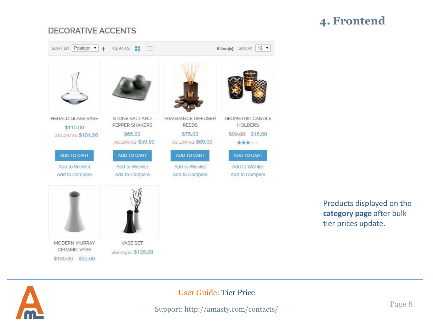## **4. Frontend**

## **DECORATIVE ACCENTS**



Products displayed on the **category page** after bulk tier prices update.

<span id="page-7-0"></span>

## User Guide: [Tier Price](http://amasty.com/magento-tier-price.html)